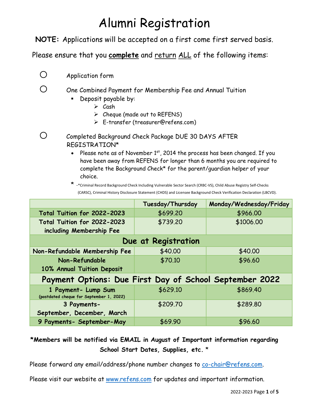# Alumni Registration

**NOTE:** Applications will be accepted on a first come first served basis.

Please ensure that you **complete** and return ALL of the following items:

O Application form

#### $\bigcirc$  One Combined Payment for Membership Fee and Annual Tuition

- **Deposit payable by:** 
	- $\triangleright$  Cash
	- $\triangleright$  Cheque (made out to REFENS)
	- E-transfer (treasurer@refens.com)
- o Completed Background Check Package DUE 30 DAYS AFTER REGISTRATION\*
	- Please note as of November 1st, 2014 the process has been changed. If you have been away from REFENS for longer than 6 months you are required to complete the Background Check\* for the parent/guardian helper of your choice.

<sup>\*</sup> -\*Criminal Record Background Check Including Vulnerable Sector Search (CRBC-VS), Child Abuse Registry Self-Checks (CARSC), Criminal History Disclosure Statement (CHDS) and Licensee Background Check Verification Declaration (LBCVD).

|                                                                 | Tuesday/Thursday | Monday/Wednesday/Friday |  |  |
|-----------------------------------------------------------------|------------------|-------------------------|--|--|
| Total Tuition for 2022-2023                                     | \$699.20         | \$966.00                |  |  |
| Total Tuition for 2022-2023                                     | \$739.20         | \$1006.00               |  |  |
| including Membership Fee                                        |                  |                         |  |  |
| Due at Registration                                             |                  |                         |  |  |
| Non-Refundable Membership Fee                                   | \$40.00          | \$40.00                 |  |  |
| Non-Refundable                                                  | \$70.10          | \$96.60                 |  |  |
| 10% Annual Tuition Deposit                                      |                  |                         |  |  |
| Payment Options: Due First Day of School September 2022         |                  |                         |  |  |
| 1 Payment- Lump Sum<br>(postdated cheque for September 1, 2022) | \$629.10         | \$869.40                |  |  |
| 3 Payments-                                                     | \$209.70         | \$289.80                |  |  |
| September, December, March                                      |                  |                         |  |  |
| 9 Payments- September-May                                       | \$69.90          | \$96.60                 |  |  |

### **\*Members will be notified via EMAIL in August of Important information regarding School Start Dates, Supplies, etc.** \*

Please forward any email/address/phone number changes to [co-chair@refens.com.](mailto:co-chair@refens.com)

Please visit our website at [www.refens.com](http://www.refens.com/) for updates and important information.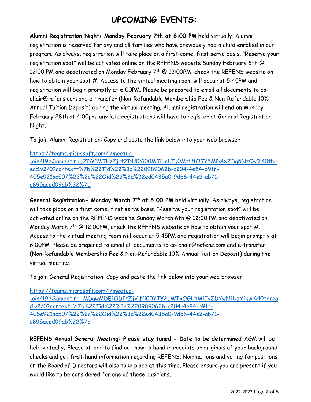## **UPCOMING EVENTS:**

**Alumni Registration Night: Monday February 7th at 6:00 PM** held virtually. Alumni registration is reserved for any and all families who have previously had a child enrolled in our program. As always, registration will take place on a first come, first serve basis. "Reserve your registration spot" will be activated online on the REFENS website Sunday February 6th @ 12:00 PM and deactivated on Monday February 7<sup>th</sup> @ 12:00PM, check the REFENS website on how to obtain your spot #. Access to the virtual meeting room will occur at 5:45PM and registration will begin promptly at 6:00PM. Please be prepared to email all documents to cochair@refens.com and e-transfer (Non-Refundable Membership Fee & Non-Refundable 10% Annual Tuition Deposit) during the virtual meeting. Alumni registration will end on Monday February 28th at 4:00pm, any late registrations will have to register at General Registration Night.

To join Alumni Registration: Copy and paste the link below into your web browser

[https://teams.microsoft.com/l/meetup](https://teams.microsoft.com/l/meetup-join/19%3ameeting_ZDY1MTEzZjctZDU0Yi00MTFmLTg0MzUtOTY5MDAxZDg5NzQy%40thread.v2/0?context=%7b%22Tid%22%3a%220989062b-c204-4e84-b91f-405e921ac507%22%2c%22Oid%22%3a%22ed0435a0-9db6-44e2-ab71-c895aced09ab%22%7d)[join/19%3ameeting\\_ZDY1MTEzZjctZDU0Yi00MTFmLTg0MzUtOTY5MDAxZDg5NzQy%40thr](https://teams.microsoft.com/l/meetup-join/19%3ameeting_ZDY1MTEzZjctZDU0Yi00MTFmLTg0MzUtOTY5MDAxZDg5NzQy%40thread.v2/0?context=%7b%22Tid%22%3a%220989062b-c204-4e84-b91f-405e921ac507%22%2c%22Oid%22%3a%22ed0435a0-9db6-44e2-ab71-c895aced09ab%22%7d) [ead.v2/0?context=%7b%22Tid%22%3a%220989062b-c204-4e84-b91f-](https://teams.microsoft.com/l/meetup-join/19%3ameeting_ZDY1MTEzZjctZDU0Yi00MTFmLTg0MzUtOTY5MDAxZDg5NzQy%40thread.v2/0?context=%7b%22Tid%22%3a%220989062b-c204-4e84-b91f-405e921ac507%22%2c%22Oid%22%3a%22ed0435a0-9db6-44e2-ab71-c895aced09ab%22%7d)[405e921ac507%22%2c%22Oid%22%3a%22ed0435a0-9db6-44e2-ab71](https://teams.microsoft.com/l/meetup-join/19%3ameeting_ZDY1MTEzZjctZDU0Yi00MTFmLTg0MzUtOTY5MDAxZDg5NzQy%40thread.v2/0?context=%7b%22Tid%22%3a%220989062b-c204-4e84-b91f-405e921ac507%22%2c%22Oid%22%3a%22ed0435a0-9db6-44e2-ab71-c895aced09ab%22%7d) [c895aced09ab%22%7d](https://teams.microsoft.com/l/meetup-join/19%3ameeting_ZDY1MTEzZjctZDU0Yi00MTFmLTg0MzUtOTY5MDAxZDg5NzQy%40thread.v2/0?context=%7b%22Tid%22%3a%220989062b-c204-4e84-b91f-405e921ac507%22%2c%22Oid%22%3a%22ed0435a0-9db6-44e2-ab71-c895aced09ab%22%7d)

**General Registration- Monday March 7th at 6:00 PM** held virtually. As always, registration will take place on a first come, first serve basis. "Reserve your registration spot" will be activated online on the REFENS website Sunday March 6th @ 12:00 PM and deactivated on Monday March  $7^{th}$  @ 12:00PM, check the REFENS website on how to obtain your spot #. Access to the virtual meeting room will occur at 5:45PM and registration will begin promptly at 6:00PM. Please be prepared to email all documents to co-chair@refens.com and e-transfer (Non-Refundable Membership Fee & Non-Refundable 10% Annual Tuition Deposit) during the virtual meeting.

To join General Registration: Copy and paste the link below into your web browser

[https://teams.microsoft.com/l/meetup](https://teams.microsoft.com/l/meetup-join/19%3ameeting_MDgwMDE1ODItZjVjNi00YTY2LWIxOGUtMjIyZDYwNjUzYjgw%40thread.v2/0?context=%7b%22Tid%22%3a%220989062b-c204-4e84-b91f-405e921ac507%22%2c%22Oid%22%3a%22ed0435a0-9db6-44e2-ab71-c895aced09ab%22%7d)[join/19%3ameeting\\_MDgwMDE1ODItZjVjNi00YTY2LWIxOGUtMjIyZDYwNjUzYjgw%40threa](https://teams.microsoft.com/l/meetup-join/19%3ameeting_MDgwMDE1ODItZjVjNi00YTY2LWIxOGUtMjIyZDYwNjUzYjgw%40thread.v2/0?context=%7b%22Tid%22%3a%220989062b-c204-4e84-b91f-405e921ac507%22%2c%22Oid%22%3a%22ed0435a0-9db6-44e2-ab71-c895aced09ab%22%7d) [d.v2/0?context=%7b%22Tid%22%3a%220989062b-c204-4e84-b91f-](https://teams.microsoft.com/l/meetup-join/19%3ameeting_MDgwMDE1ODItZjVjNi00YTY2LWIxOGUtMjIyZDYwNjUzYjgw%40thread.v2/0?context=%7b%22Tid%22%3a%220989062b-c204-4e84-b91f-405e921ac507%22%2c%22Oid%22%3a%22ed0435a0-9db6-44e2-ab71-c895aced09ab%22%7d)[405e921ac507%22%2c%22Oid%22%3a%22ed0435a0-9db6-44e2-ab71](https://teams.microsoft.com/l/meetup-join/19%3ameeting_MDgwMDE1ODItZjVjNi00YTY2LWIxOGUtMjIyZDYwNjUzYjgw%40thread.v2/0?context=%7b%22Tid%22%3a%220989062b-c204-4e84-b91f-405e921ac507%22%2c%22Oid%22%3a%22ed0435a0-9db6-44e2-ab71-c895aced09ab%22%7d) [c895aced09ab%22%7d](https://teams.microsoft.com/l/meetup-join/19%3ameeting_MDgwMDE1ODItZjVjNi00YTY2LWIxOGUtMjIyZDYwNjUzYjgw%40thread.v2/0?context=%7b%22Tid%22%3a%220989062b-c204-4e84-b91f-405e921ac507%22%2c%22Oid%22%3a%22ed0435a0-9db6-44e2-ab71-c895aced09ab%22%7d)

**REFENS Annual General Meeting: Please stay tuned - Date to be determined** AGM will be held virtually. Please attend to find out how to hand in receipts or originals of your background checks and get first-hand information regarding REFENS. Nominations and voting for positions on the Board of Directors will also take place at this time. Please ensure you are present if you would like to be considered for one of these positions.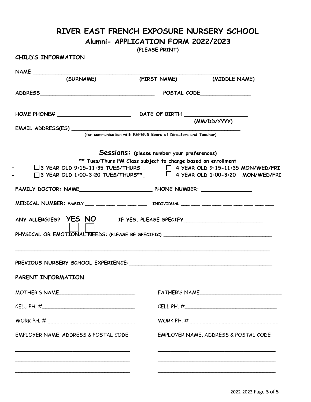### **RIVER EAST FRENCH EXPOSURE NURSERY SCHOOL**

#### **Alumni- APPLICATION FORM 2022/2023**

**(PLEASE PRINT)**

#### **CHILD'S INFORMATION**

| (SURNAME)                                                                                                                                                                                                                                                     |                                                                                                            | (FIRST NAME) (MIDDLE NAME)           |  |
|---------------------------------------------------------------------------------------------------------------------------------------------------------------------------------------------------------------------------------------------------------------|------------------------------------------------------------------------------------------------------------|--------------------------------------|--|
|                                                                                                                                                                                                                                                               |                                                                                                            |                                      |  |
|                                                                                                                                                                                                                                                               |                                                                                                            | (MM/DD/YYYY)                         |  |
|                                                                                                                                                                                                                                                               |                                                                                                            |                                      |  |
|                                                                                                                                                                                                                                                               |                                                                                                            |                                      |  |
| □ 3 YEAR OLD 9:15-11:35 TUES/THURS - $\Box$ 4 YEAR OLD 9:15-11:35 MON/WED/FRI<br>□ 3 YEAR OLD 1:00-3:20 TUES/THURS** $\Box$ 4 YEAR OLD 1:00-3:20 MON/WED/FRI<br>MEDICAL NUMBER: FAMILY ___ ___ ___ ___ ___ ___ INDIVIDUAL ___ ___ ___ ___ ___ ___ ___ ___ ___ | Sessions: (please number your preferences)<br>** Tues/Thurs PM Class subject to change based on enrollment |                                      |  |
| PHYSICAL OR EMOTIONAL NEEDS: (PLEASE BE SPECIFIC) ______________________________                                                                                                                                                                              |                                                                                                            |                                      |  |
| PARENT INFORMATION                                                                                                                                                                                                                                            |                                                                                                            |                                      |  |
| MOTHER'S NAME                                                                                                                                                                                                                                                 |                                                                                                            | FATHER'S NAME                        |  |
| CELL PH. $\#$                                                                                                                                                                                                                                                 |                                                                                                            | CELL PH. $\#$                        |  |
|                                                                                                                                                                                                                                                               |                                                                                                            |                                      |  |
| EMPLOYER NAME, ADDRESS & POSTAL CODE                                                                                                                                                                                                                          |                                                                                                            | EMPLOYER NAME, ADDRESS & POSTAL CODE |  |
|                                                                                                                                                                                                                                                               |                                                                                                            |                                      |  |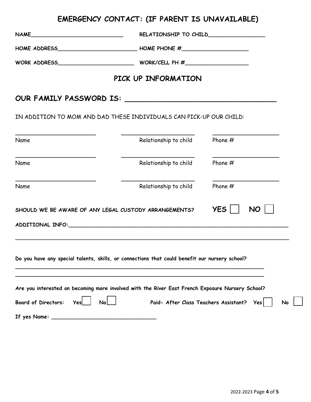# **EMERGENCY CONTACT: (IF PARENT IS UNAVAILABLE)**

|                                                                                                                                                                                                                                      | HOME ADDRESS________________________________HOME PHONE #________________________ |           |  |  |
|--------------------------------------------------------------------------------------------------------------------------------------------------------------------------------------------------------------------------------------|----------------------------------------------------------------------------------|-----------|--|--|
|                                                                                                                                                                                                                                      |                                                                                  |           |  |  |
| PICK UP INFORMATION                                                                                                                                                                                                                  |                                                                                  |           |  |  |
|                                                                                                                                                                                                                                      |                                                                                  |           |  |  |
| IN ADDITION TO MOM AND DAD THESE INDIVIDUALS CAN PICK-UP OUR CHILD:                                                                                                                                                                  |                                                                                  |           |  |  |
| Name                                                                                                                                                                                                                                 | Relationship to child                                                            | Phone $#$ |  |  |
| Name                                                                                                                                                                                                                                 | Relationship to child                                                            | Phone $#$ |  |  |
| Name                                                                                                                                                                                                                                 | Relationship to child Phone #                                                    |           |  |  |
| YES    <br>NO  <br>SHOULD WE BE AWARE OF ANY LEGAL CUSTODY ARRANGEMENTS?                                                                                                                                                             |                                                                                  |           |  |  |
|                                                                                                                                                                                                                                      |                                                                                  |           |  |  |
| Do you have any special talents, skills, or connections that could benefit our nursery school?                                                                                                                                       |                                                                                  |           |  |  |
| Are you interested on becoming more involved with the River East French Exposure Nursery School?<br>$\mathsf{No}$<br>Paid- After Class Teachers Assistant? Yes<br><b>Board of Directors:</b><br><b>Nol</b><br>Yesl<br>If yes Name: _ |                                                                                  |           |  |  |